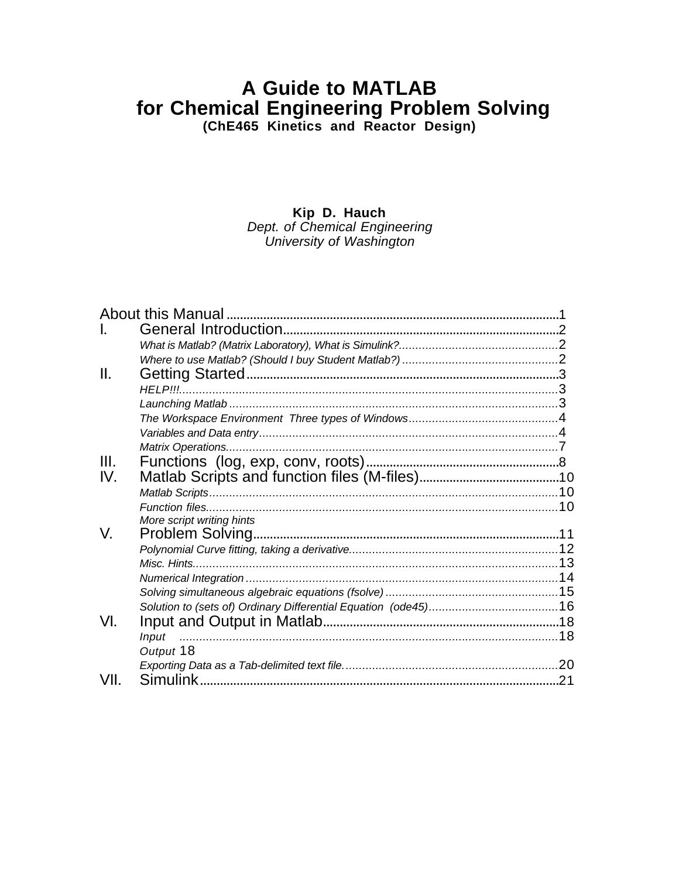# **A Guide to MATLAB** for Chemical Engineering Problem Solving<br>(ChE465 Kinetics and Reactor Design)

Kip D. Hauch

Dept. of Chemical Engineering<br>University of Washington

| II.  |                           |     |
|------|---------------------------|-----|
|      | <b>HELP!!!</b>            |     |
|      |                           |     |
|      |                           |     |
|      |                           |     |
|      |                           |     |
| III. |                           |     |
| IV.  |                           |     |
|      |                           |     |
|      |                           |     |
|      | More script writing hints |     |
| V.   |                           |     |
|      |                           |     |
|      |                           |     |
|      |                           |     |
|      |                           |     |
|      |                           |     |
| VI.  |                           |     |
|      | <b>Input</b>              |     |
|      | Output 18                 |     |
|      |                           |     |
| VII. |                           | .21 |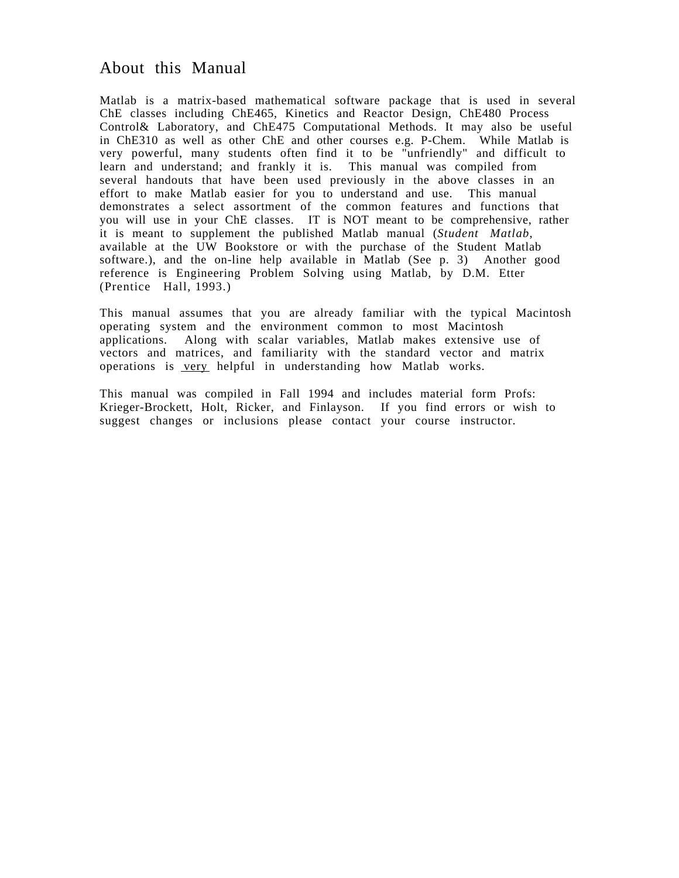# About this Manual

Matlab is a matrix-based mathematical software package that is used in several ChE classes including ChE465, Kinetics and Reactor Design, ChE480 Process Control& Laboratory, and ChE475 Computational Methods. It may also be useful in ChE310 as well as other ChE and other courses e.g. P-Chem. While Matlab is very powerful, many students often find it to be "unfriendly" and difficult to learn and understand; and frankly it is. This manual was compiled from several handouts that have been used previously in the above classes in an effort to make Matlab easier for you to understand and use. This manual demonstrates a select assortment of the common features and functions that you will use in your ChE classes. IT is NOT meant to be comprehensive, rather it is meant to supplement the published Matlab manual (*Student Matlab*, available at the UW Bookstore or with the purchase of the Student Matlab software.), and the on-line help available in Matlab (See p. 3) Another good reference is Engineering Problem Solving using Matlab, by D.M. Etter (Prentice Hall, 1993.)

This manual assumes that you are already familiar with the typical Macintosh operating system and the environment common to most Macintosh applications. Along with scalar variables, Matlab makes extensive use of vectors and matrices, and familiarity with the standard vector and matrix operations is very helpful in understanding how Matlab works.

This manual was compiled in Fall 1994 and includes material form Profs: Krieger-Brockett, Holt, Ricker, and Finlayson. If you find errors or wish to suggest changes or inclusions please contact your course instructor.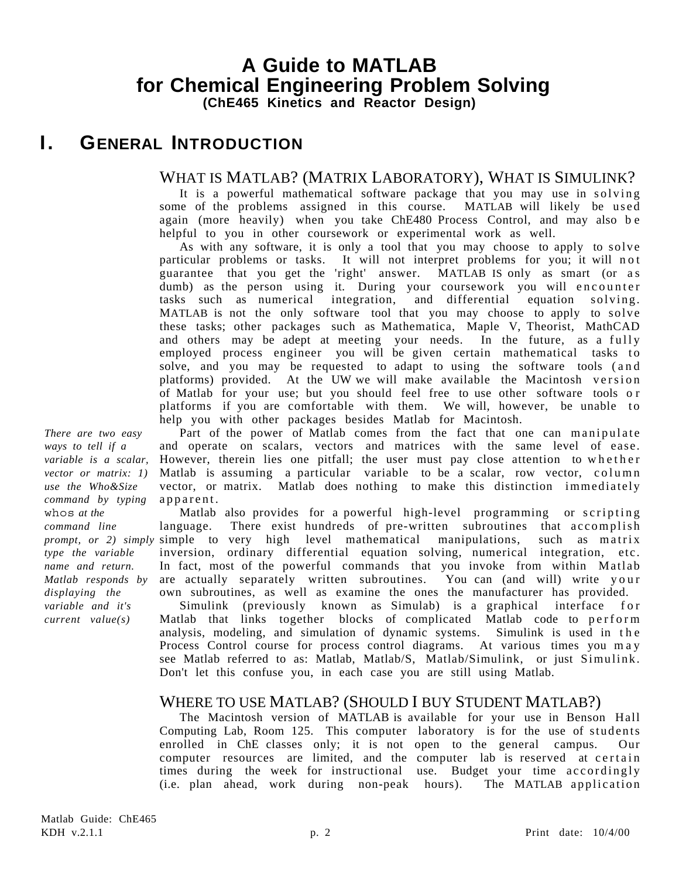# **I. GENERAL INTRODUCTION**

# WHAT IS MATLAB? (MATRIX LABORATORY), WHAT IS SIMULINK?

It is a powerful mathematical software package that you may use in solving some of the problems assigned in this course. MATLAB will likely be used again (more heavily) when you take ChE480 Process Control, and may also be helpful to you in other coursework or experimental work as well.

As with any software, it is only a tool that you may choose to apply to solve particular problems or tasks. It will not interpret problems for you; it will not guarantee that you get the 'right' answer. MATLAB IS only as smart (or as dumb) as the person using it. During your coursework you will encounter tasks such as numerical integration, and differential equation solving. MATLAB is not the only software tool that you may choose to apply to solve these tasks; other packages such as Mathematica, Maple V, Theorist, MathCAD and others may be adept at meeting your needs. In the future, as a fully employed process engineer you will be given certain mathematical tasks to solve, and you may be requested to adapt to using the software tools (and platforms) provided. At the UW we will make available the Macintosh ve rsion of Matlab for your use; but you should feel free to use other software tools o r platforms if you are comfortable with them. We will, however, be unable to help you with other packages besides Matlab for Macintosh.

Part of the power of Matlab comes from the fact that one can manipulate and operate on scalars, vectors and matrices with the same level of ease. However, therein lies one pitfall; the user must pay close attention to whether Matlab is assuming a particular variable to be a scalar, row vector, column vector, or matrix. Matlab does nothing to make this distinction immediately apparent.

Matlab also provides for a powerful high-level programming or scripting language. There exist hundreds of pre-written subroutines that accomplish prompt, or 2) simply simple to very high level mathematical manipulations, such as matrix inversion, ordinary differential equation solving, numerical integration, etc. In fact, most of the powerful commands that you invoke from within Matlab are actually separately written subroutines. You can (and will) write your own subroutines, as well as examine the ones the manufacturer has provided.

Simulink (previously known as Simulab) is a graphical interface for Matlab that links together blocks of complicated Matlab code to perform analysis, modeling, and simulation of dynamic systems. Simulink is used in the Process Control course for process control diagrams. At various times you may see Matlab referred to as: Matlab, Matlab/S, Matlab/Simulink, or just Simulink. Don't let this confuse you, in each case you are still using Matlab.

# WHERE TO USE MATLAB? (SHOULD I BUY STUDENT MATLAB?)

The Macintosh version of MATLAB is available for your use in Benson Hall Computing Lab, Room 125. This computer laboratory is for the use of students enrolled in ChE classes only; it is not open to the general campus. Our computer resources are limited, and the computer lab is reserved at certain times during the week for instructional use. Budget your time accordingly (i.e. plan ahead, work during non-peak hours). The MATLAB application

*There are two easy ways to tell if a variable is a scalar, vector or matrix: 1) use the Who&Size command by typing* whos *at the command line type the variable name and return. Matlab responds by displaying the variable and it's current value(s)*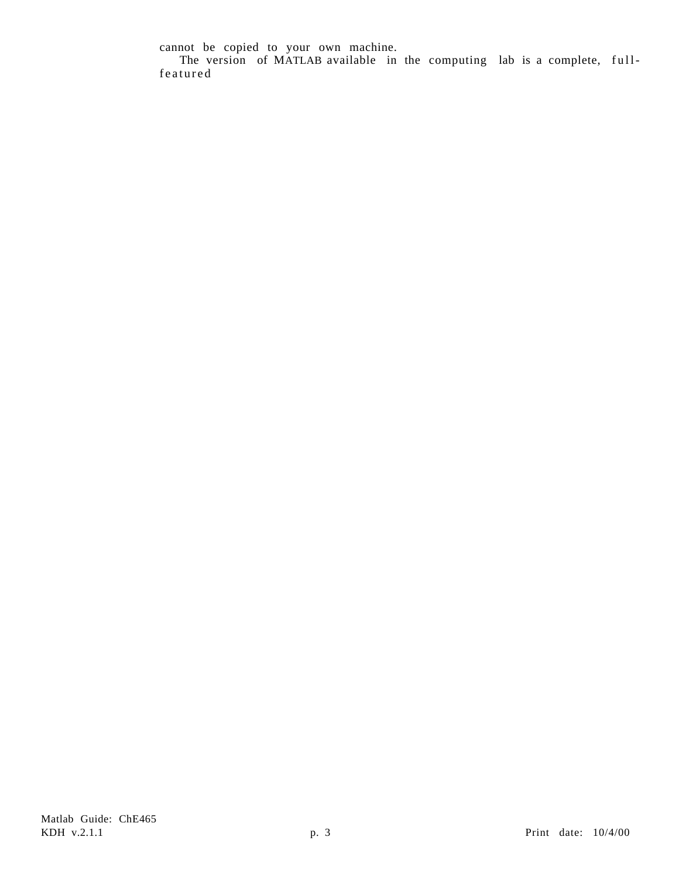cannot be copied to your own machine.

The version of MATLAB available in the computing lab is a complete, fullfeatured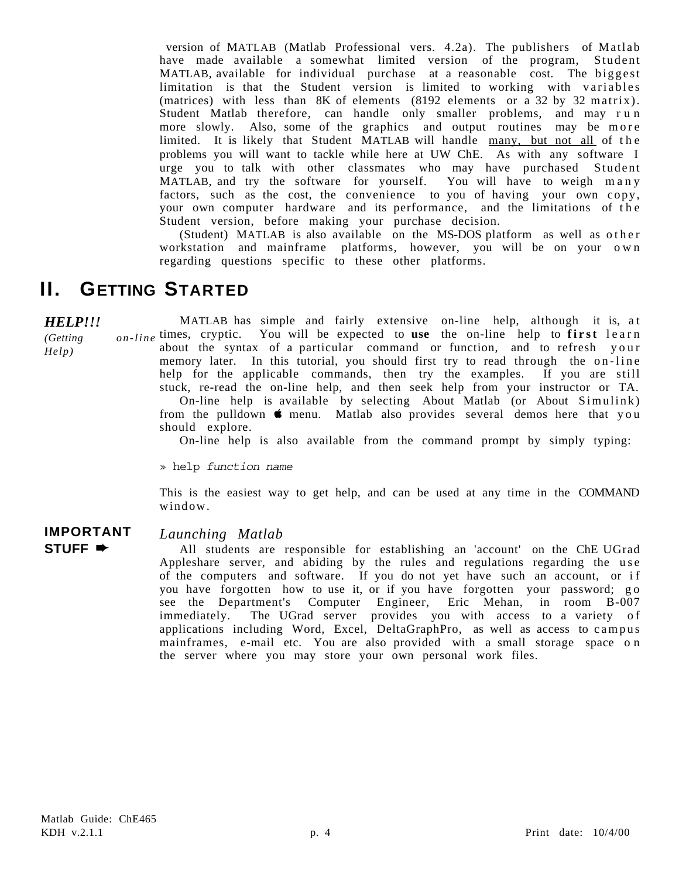version of MATLAB (Matlab Professional vers. 4.2a). The publishers of Matlab have made available a somewhat limited version of the program, Student MATLAB, available for individual purchase at a reasonable cost. The biggest limitation is that the Student version is limited to working with variables (matrices) with less than 8K of elements (8192 elements or a 32 by 32 matrix). Student Matlab therefore, can handle only smaller problems, and may run more slowly. Also, some of the graphics and output routines may be more limited. It is likely that Student MATLAB will handle many, but not all of the problems you will want to tackle while here at UW ChE. As with any software I urge you to talk with other classmates who may have purchased Student MATLAB, and try the software for yourself. You will have to weigh many factors, such as the cost, the convenience to you of having your own copy, your own computer hardware and its performance, and the limitations of the Student version, before making your purchase decision.

(Student) MATLAB is also available on the MS-DOS platform as well as other workstation and mainframe platforms, however, you will be on your own regarding questions specific to these other platforms.

# **II. GETTING STARTED**

*HELP!!!*

*(Getting* 

*Help)*

MATLAB has simple and fairly extensive on-line help, although it is, at times, cryptic. You will be expected to **use** the on-line help to **first** learn about the syntax of a particular command or function, and to refresh your memory later. In this tutorial, you should first try to read through the on-line help for the applicable commands, then try the examples. If you are still stuck, re-read the on-line help, and then seek help from your instructor or TA. On-line help is available by selecting About Matlab (or About Simulink) from the pulldown  $\bullet$  menu. Matlab also provides several demos here that you should explore.

On-line help is also available from the command prompt by simply typing:

» help *function name*

This is the easiest way to get help, and can be used at any time in the COMMAND window.

### **IMPORTANT STUFF** ➨

### *Launching Matlab*

All students are responsible for establishing an 'account' on the ChE UGrad Appleshare server, and abiding by the rules and regulations regarding the use of the computers and software. If you do not yet have such an account, or if you have forgotten how to use it, or if you have forgotten your password; go see the Department's Computer Engineer, Eric Mehan, in room B-007 immediately. The UGrad server provides you with access to a variety of applications including Word, Excel, DeltaGraphPro, as well as access to campus mainframes, e-mail etc. You are also provided with a small storage space on the server where you may store your own personal work files.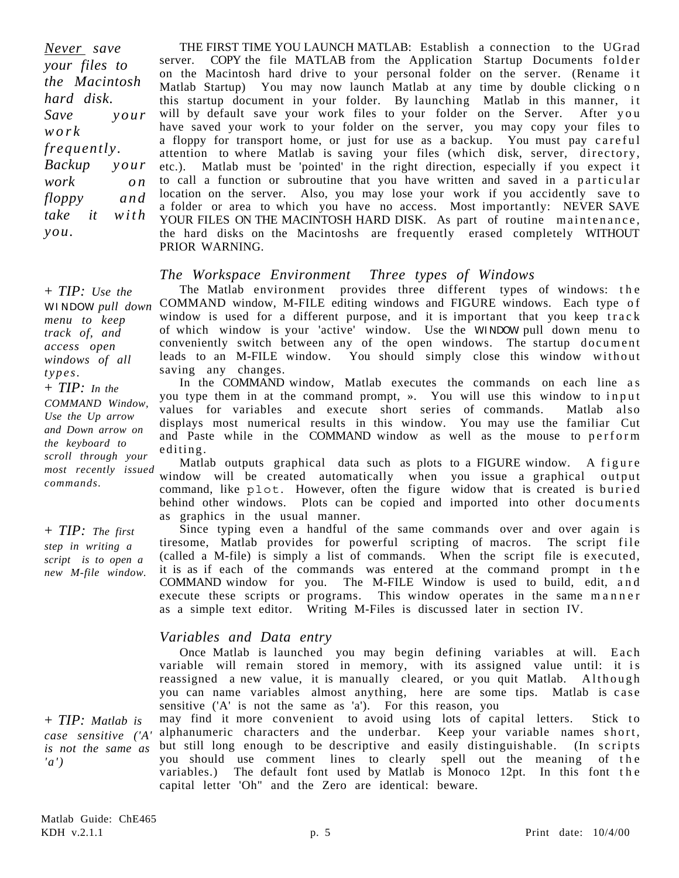*Never save your files to the Macintosh hard disk. Save your work frequently. Backup your work on floppy and take it with you.*

THE FIRST TIME YOU LAUNCH MATLAB: Establish a connection to the UGrad server. COPY the file MATLAB from the Application Startup Documents folder on the Macintosh hard drive to your personal folder on the server. (Rename it Matlab Startup) You may now launch Matlab at any time by double clicking o n this startup document in your folder. By launching Matlab in this manner, it will by default save your work files to your folder on the Server. After you have saved your work to your folder on the server, you may copy your files to a floppy for transport home, or just for use as a backup. You must pay careful attention to where Matlab is saving your files (which disk, server, directory, etc.). Matlab must be 'pointed' in the right direction, especially if you expect it to call a function or subroutine that you have written and saved in a particular location on the server. Also, you may lose your work if you accidently save to a folder or area to which you have no access. Most importantly: NEVER SAVE YOUR FILES ON THE MACINTOSH HARD DISK. As part of routine maintenance, the hard disks on the Macintoshs are frequently erased completely WITHOUT PRIOR WARNING.

### *The Workspace Environment Three types of Windows*

The Matlab environment provides three different types of windows: the COMMAND window, M-FILE editing windows and FIGURE windows. Each type o f window is used for a different purpose, and it is important that you keep track of which window is your 'active' window. Use the WINDOW pull down menu to conveniently switch between any of the open windows. The startup document leads to an M-FILE window. You should simply close this window without saving any changes. WINDOW *pull down*

> In the COMMAND window, Matlab executes the commands on each line as you type them in at the command prompt, ». You will use this window to input values for variables and execute short series of commands. Matlab also displays most numerical results in this window. You may use the familiar Cut and Paste while in the COMMAND window as well as the mouse to perform editing.

Matlab outputs graphical data such as plots to a FIGURE window. A figure most recently issued window will be created automatically when you issue a graphical output command, like plot. However, often the figure widow that is created is buried behind other windows. Plots can be copied and imported into other documents as graphics in the usual manner.

> Since typing even a handful of the same commands over and over again is tiresome, Matlab provides for powerful scripting of macros. The script file (called a M-file) is simply a list of commands. When the script file is executed, it is as if each of the commands was entered at the command prompt in the COMMAND window for you. The M-FILE Window is used to build, edit, a n d execute these scripts or programs. This window operates in the same manner as a simple text editor. Writing M-Files is discussed later in section IV.

#### *Variables and Data entry*

Once Matlab is launched you may begin defining variables at will. Each variable will remain stored in memory, with its assigned value until: it is reassigned a new value, it is manually cleared, or you quit Matlab. Although you can name variables almost anything, here are some tips. Matlab is case sensitive ('A' is not the same as 'a'). For this reason, you

may find it more convenient to avoid using lots of capital letters. Stick to case sensitive ('A' alphanumeric characters and the underbar. Keep your variable names short, but still long enough to be descriptive and easily distinguishable. (In scripts you should use comment lines to clearly spell out the meaning of the variables.) The default font used by Matlab is Monoco 12pt. In this font the capital letter 'Oh" and the Zero are identical: beware.

*track of, and access open windows of all types.* + *TIP: In the COMMAND Window, Use the Up arrow and Down arrow on the keyboard to scroll through your commands.*

+ *TIP: Use the*

*menu to keep*

+ *TIP: The first step in writing a script is to open a new M-file window.*

+ *TIP: Matlab is is not the same as 'a')*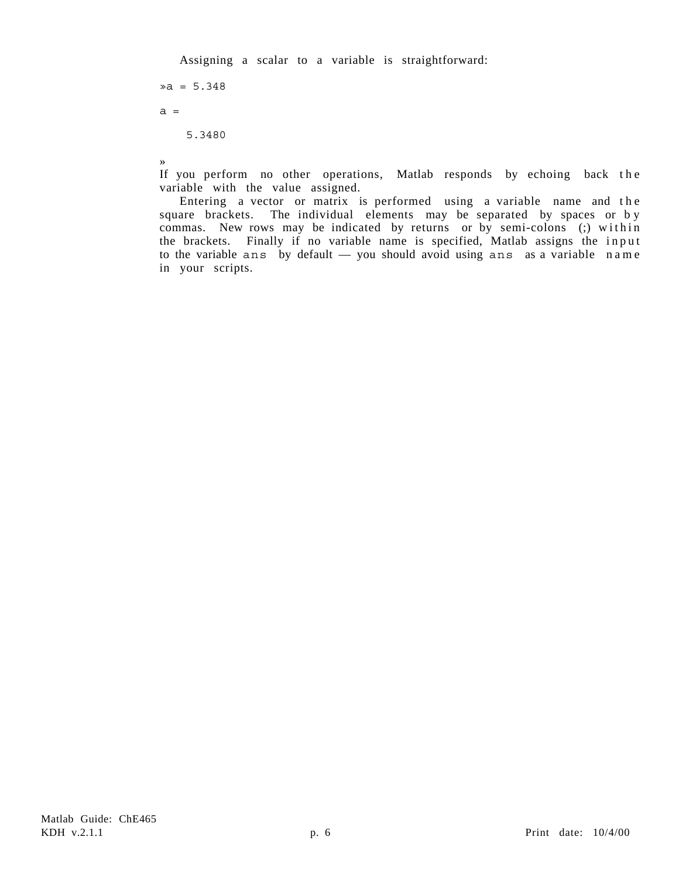Assigning a scalar to a variable is straightforward:

 $\sqrt{a} = 5.348$  $a =$  5.3480 »

If you perform no other operations, Matlab responds by echoing back the variable with the value assigned.

Entering a vector or matrix is performed using a variable name and the square brackets. The individual elements may be separated by spaces or by commas. New rows may be indicated by returns or by semi-colons (;) within the brackets. Finally if no variable name is specified, Matlab assigns the input to the variable ans by default — you should avoid using ans as a variable name in your scripts.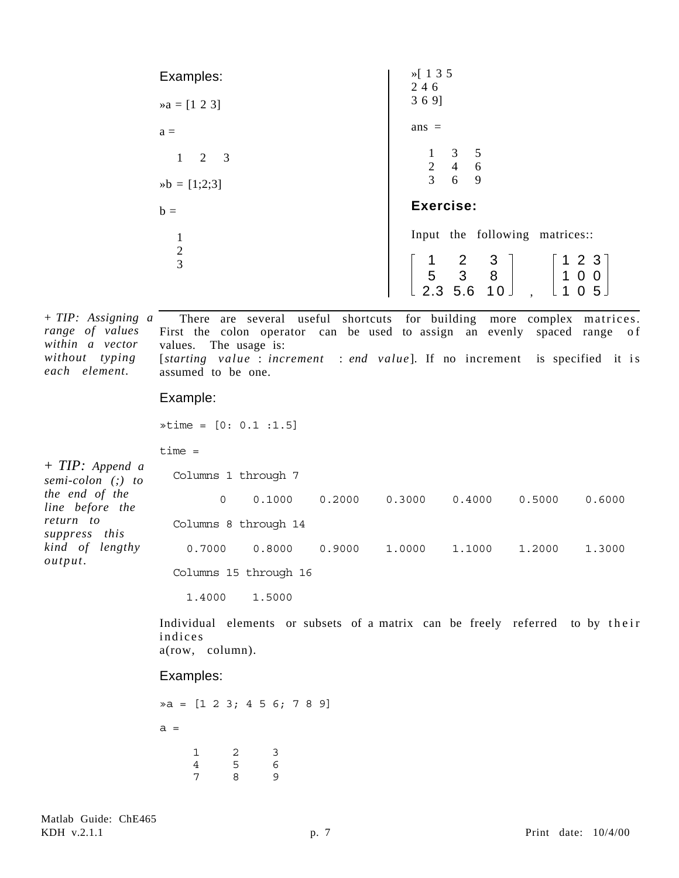| Examples:                        | $\frac{1}{2}$ 1 3 5<br>246                                                                                                                  |
|----------------------------------|---------------------------------------------------------------------------------------------------------------------------------------------|
| $\triangleright a = [1 \ 2 \ 3]$ | 369]                                                                                                                                        |
| $a =$                            | $ans =$                                                                                                                                     |
| $1 \t2 \t3$                      | $\begin{array}{ccc} 1 & 3 & 5 \\ 2 & 4 & 6 \\ 3 & 6 & 9 \end{array}$                                                                        |
| $ab = [1;2;3]$                   |                                                                                                                                             |
| $b =$                            | Exercise:                                                                                                                                   |
| $\mathbf{1}$                     | Input the following matrices::                                                                                                              |
| $\frac{2}{3}$                    | $\begin{bmatrix} 1 & 2 & 3 \\ 5 & 3 & 8 \\ 2.3 & 5.6 & 10 \end{bmatrix}$<br>1 2 3<br>$\begin{bmatrix} 1 & 0 & 0 \\ 1 & 0 & 5 \end{bmatrix}$ |

There are several useful shortcuts for building more complex matrices. First the colon operator can be used to assign an evenly spaced range of values. The usage is: [starting value : *increment* : end value]. If no increment is specified it is assumed to be one. + *TIP: Assigning a range of values within a vector without typing each element.*

#### Example:

»time = [0: 0.1 :1.5]

time =

| $+$ TIP: Append a<br>semi-colon (;) to | Columns 1 through 7   |        |        |        |        |        |        |
|----------------------------------------|-----------------------|--------|--------|--------|--------|--------|--------|
| the end of the<br>line before the      | 0                     | 0.1000 | 0.2000 | 0.3000 | 0.4000 | 0.5000 | 0.6000 |
| return to<br>suppress this             | Columns 8 through 14  |        |        |        |        |        |        |
| kind of lengthy<br>output.             | 0.7000                | 0.8000 | 0.9000 | 1,0000 | 1.1000 | 1,2000 | 1,3000 |
|                                        | Columns 15 through 16 |        |        |        |        |        |        |

1.4000 1.5000

Individual elements or subsets of a matrix can be freely referred to by their indices a(row, column).

#### Examples:

»a = [1 2 3; 4 5 6; 7 8 9]  $a =$  1 2 3 4 5 6 7 8 9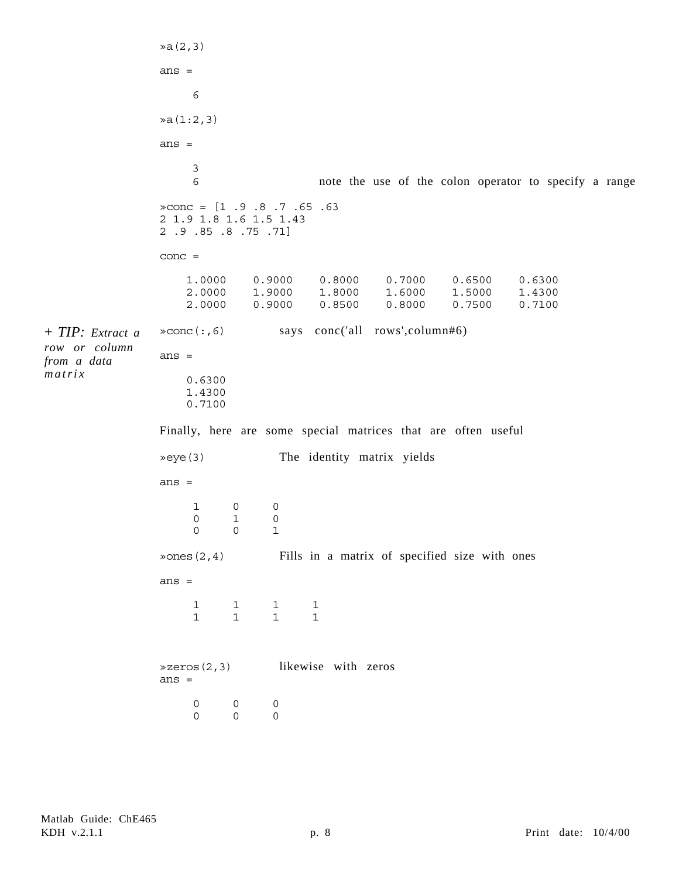»a(2,3) ans  $=$  6 »a(1:2,3) ans  $=$  3 6 note the use of the colon operator to specify a range  $\text{R}$   $\text{R}$   $\text{R}$   $\text{R}$   $\text{R}$   $\text{R}$   $\text{R}$   $\text{R}$   $\text{R}$   $\text{R}$   $\text{R}$   $\text{R}$   $\text{R}$   $\text{R}$   $\text{R}$   $\text{R}$   $\text{R}$   $\text{R}$   $\text{R}$   $\text{R}$   $\text{R}$   $\text{R}$   $\text{R}$   $\text{R}$   $\text{R}$   $\text{R}$   $\text{R}$   $\text{R$ 2 1.9 1.8 1.6 1.5 1.43 2 .9 .85 .8 .75 .71] conc = 1.0000 0.9000 0.8000 0.7000 0.6500 0.6300 2.0000 1.9000 1.8000 1.6000 1.5000 1.4300 2.0000 0.9000 0.8500 0.8000 0.7500 0.7100 »conc(:,6) says conc('all rows',column#6) ans = 0.6300 1.4300 0.7100 Finally, here are some special matrices that are often useful »eye(3) The identity matrix yields ans = 1 0 0 0 1 0 0 0 1 »ones(2,4) Fills in a matrix of specified size with ones ans = 1 1 1 1 1 1 1 1 »zeros(2,3) likewise with zeros ans  $=$  0 0 0 0 0 0 + *TIP: Extract a row or column from a data matrix*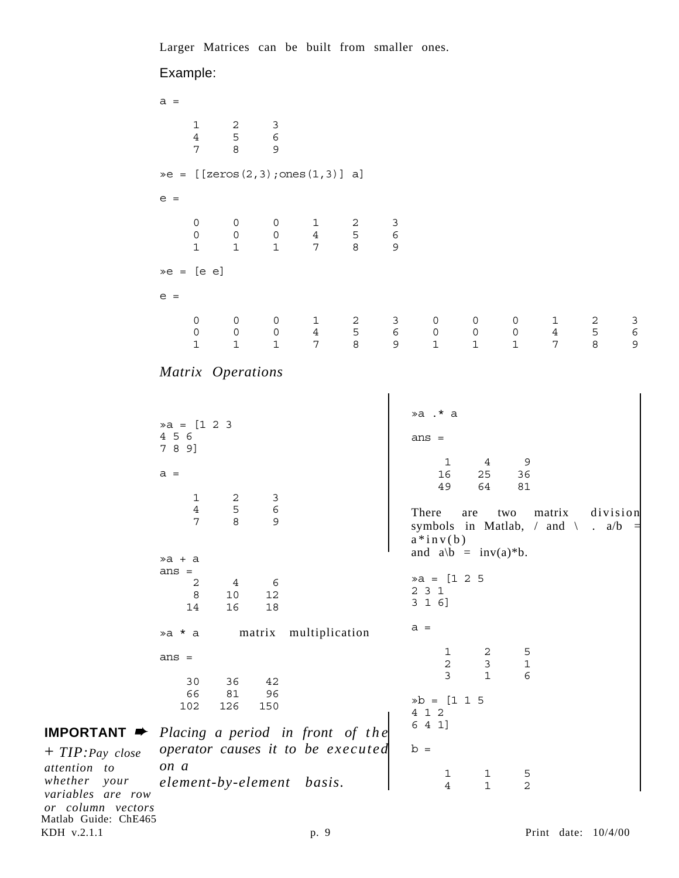Larger Matrices can be built from smaller ones.

### Example:

Matlab Guide: ChE465  $a =$  1 2 3 4 5 6 7 8 9  $\geq e = [ [ \text{zeros}(2,3) ; \text{ones}(1,3) ] ]$  a] e = 0 0 0 1 2 3 0 0 0 4 5 6 1 1 1 7 8 9  $\ge e = [e e]$  $e =$  0 0 0 1 2 3 0 0 0 1 2 3 0 0 0 4 5 6 0 0 0 4 5 6 1 1 1 7 8 9 1 1 1 7 8 9 *Matrix Operations*  $\ast a = [1 \ 2 \ 3]$ 4 5 6 7 8 9]  $a =$  1 2 3 4 5 6 7 8 9 »a + a ans = 2 4 6 8 10 12 14 16 18 »a \* a matrix multiplication ans = 30 36 42 66 81 96 102 126 150 *Placing a period in front of the operator causes it to be executed on a element-by-element basis.* »a .\* a ans = 1 4 9 16 25 36 49 64 81 There are two matrix division symbols in Matlab,  $/$  and  $\lambda$   $\cdot$  a/b  $a * inv(b)$ and  $a/b = inv(a)*b$ .  $\ast a = [1 \ 2 \ 5$ 2 3 1 3 1 6]  $a =$  1 2 5 2 3 1 3 1 6 »b = [1 1 5 4 1 2 6 4 1]  $b =$  1 1 5 4 1 2 **IMPORTANT** ➨ + *TIP:Pay close whether your variables are row or column vectors*

*attention to*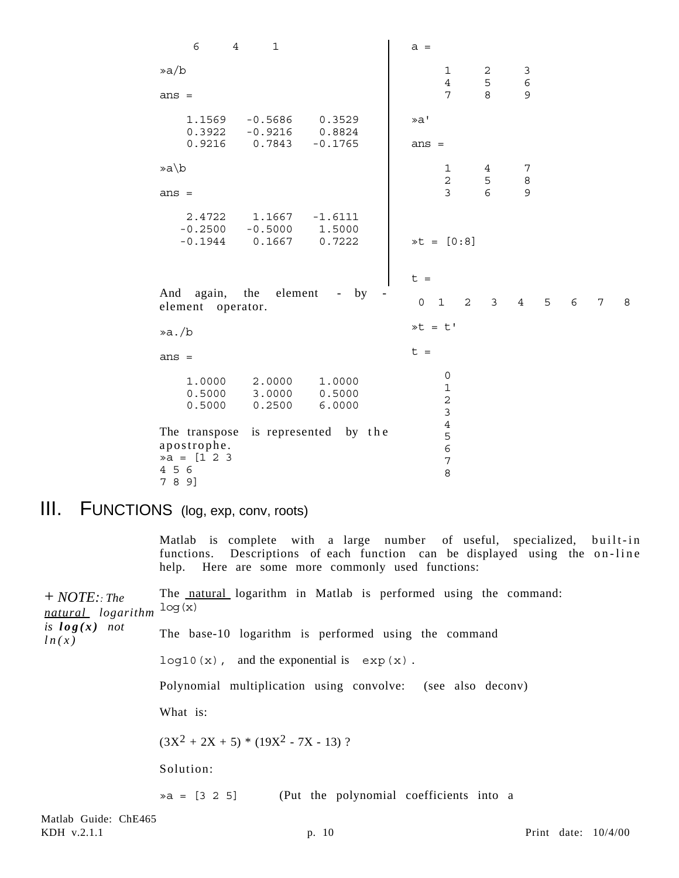6 4 1 »a/b ans = 1.1569 -0.5686 0.3529 0.3922 -0.9216 0.8824 0.9216 0.7843 -0.1765 »a\b ans = 2.4722 1.1667 -1.6111 -0.2500 -0.5000 1.5000 -0.1944 0.1667 0.7222 And again, the element - by element operator. »a./b ans = 1.0000 2.0000 1.0000 0.5000 3.0000 0.5000<br>0.5000 0.2500 6.0000 0.5000 0.2500 6.0000 The transpose is represented by the apostrophe. »a = [1 2 3 4 5 6 7 8 9]  $a =$  1 2 3 4 5 6 7 8 9 »a' ans = 1 4 7 2 5 8 3 6 9 »t = [0:8]  $t =$  0 1 2 3 4 5 6 7 8  $\ast t = t'$  $t =$  $\Omega$  1 2 3 4 5 6 7 8

# III. FUNCTIONS (log, exp, conv, roots)

Matlab is complete with a large number of useful, specialized, built-in functions. Descriptions of each function can be displayed using the on-line help. Here are some more commonly used functions:

The natural logarithm in Matlab is performed using the command: log(x) The base-10 logarithm is performed using the command  $log10(x)$ , and the exponential is  $exp(x)$ . Polynomial multiplication using convolve: (see also deconv) What is:  $(3X^{2} + 2X + 5) * (19X^{2} - 7X - 13)$ ? Solution:  $\infty$  = [3 2 5] (Put the polynomial coefficients into a + *NOTE:: The natural logarithm is log(x) not ln(x)*

Matlab Guide: ChE465 KDH v.2.1.1 **p. 10** Print date:  $10/4/00$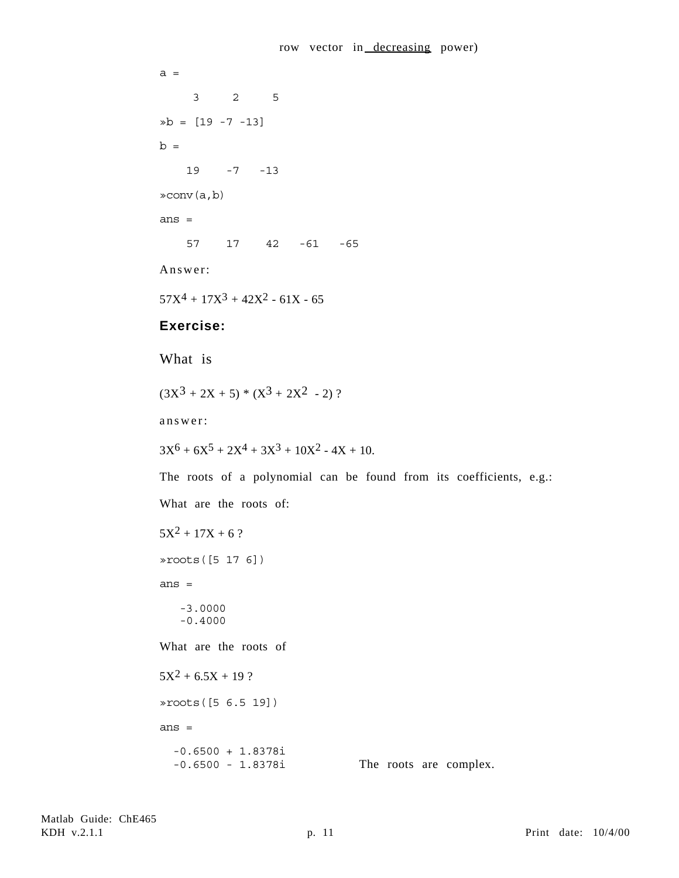```
a = 3 2 5
»b = [19 -7 -13]
b = 19 -7 -13
»conv(a,b)
ans =
     57 17 42 -61 -65
Answer:
57X^4 + 17X^3 + 42X^2 - 61X - 65Exercise:
What is
(3X^3 + 2X + 5) * (X^3 + 2X^2 - 2)?
answer:
3X^6 + 6X^5 + 2X^4 + 3X^3 + 10X^2 - 4X + 10.
The roots of a polynomial can be found from its coefficients, e.g.:
What are the roots of:
5X^2 + 17X + 6?
»roots([5 17 6])
ans =
    -3.0000
    -0.4000
What are the roots of
5X^2 + 6.5X + 19 ?
»roots([5 6.5 19])
ans =
   -0.6500 + 1.8378i
   -0.6500 - 1.8378i The roots are complex.
```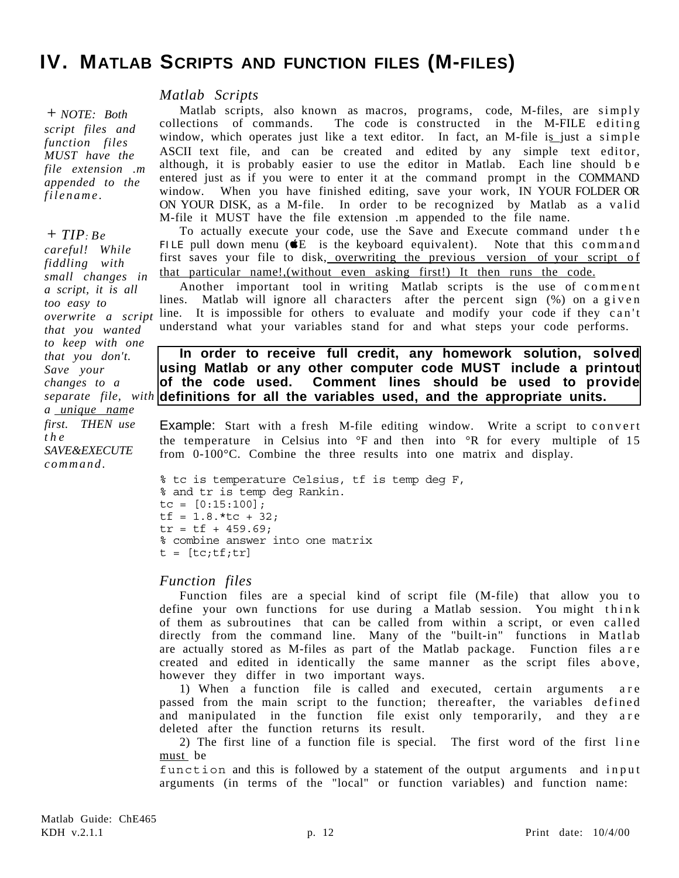# **IV. MATLAB SCRIPTS AND FUNCTION FILES (M-FILES)**

#### *Matlab Scripts*

+ *NOTE: Both script files and function files MUST have the file extension .m appended to the filename.*

#### + *TIP: Be*

*careful! While fiddling with small changes in a script, it is all too easy to overwrite a script that you wanted to keep with one that you don't. Save your changes to a a unique name first. THEN use the SAVE&EXECUTE command.*

Matlab scripts, also known as macros, programs, code, M-files, are simply collections of commands. The code is constructed in the M-FILE e diting window, which operates just like a text editor. In fact, an M-file is just a simple ASCII text file, and can be created and edited by any simple text editor, although, it is probably easier to use the editor in Matlab. Each line should b e entered just as if you were to enter it at the command prompt in the COMMAND window. When you have finished editing, save your work, IN YOUR FOLDER OR ON YOUR DISK, as a M-file. In order to be recognized by Matlab as a valid M-file it MUST have the file extension .m appended to the file name.

To actually execute your code, use the Save and Execute command under the FILE pull down menu ( $E$  is the keyboard equivalent). Note that this command first saves your file to disk, overwriting the previous version of your script of that particular name!,(without even asking first!) It then runs the code.

Another important tool in writing Matlab scripts is the use of comment lines. Matlab will ignore all characters after the percent sign (%) on a given line. It is impossible for others to evaluate and modify your code if they can't understand what your variables stand for and what steps your code performs.

### **In order to receive full credit, any homework solution, solved using Matlab or any other computer code MUST include a printout of the code used. Comment lines should be used to provide** separate file, with **definitions for all the variables used, and the appropriate units.**

Example: Start with a fresh M-file editing window. Write a script to convert the temperature in Celsius into °F and then into °R for every multiple of 15 from 0-100°C. Combine the three results into one matrix and display.

```
% tc is temperature Celsius, tf is temp deg F,
% and tr is temp deg Rankin.
tc = [0:15:100];tf = 1.8.*tc + 32;tr = tf + 459.69;% combine answer into one matrix
t = [tc; tf;tr]
```
### *Function files*

Function files are a special kind of script file (M-file) that allow you to define your own functions for use during a Matlab session. You might think of them as subroutines that can be called from within a script, or even called directly from the command line. Many of the "built-in" functions in Matlab are actually stored as M-files as part of the Matlab package. Function files a re created and edited in identically the same manner as the script files above, however they differ in two important ways.

1) When a function file is called and executed, certain arguments are passed from the main script to the function; thereafter, the variables defined and manipulated in the function file exist only temporarily, and they are deleted after the function returns its result.

2) The first line of a function file is special. The first word of the first line must be

function and this is followed by a statement of the output arguments and input arguments (in terms of the "local" or function variables) and function name: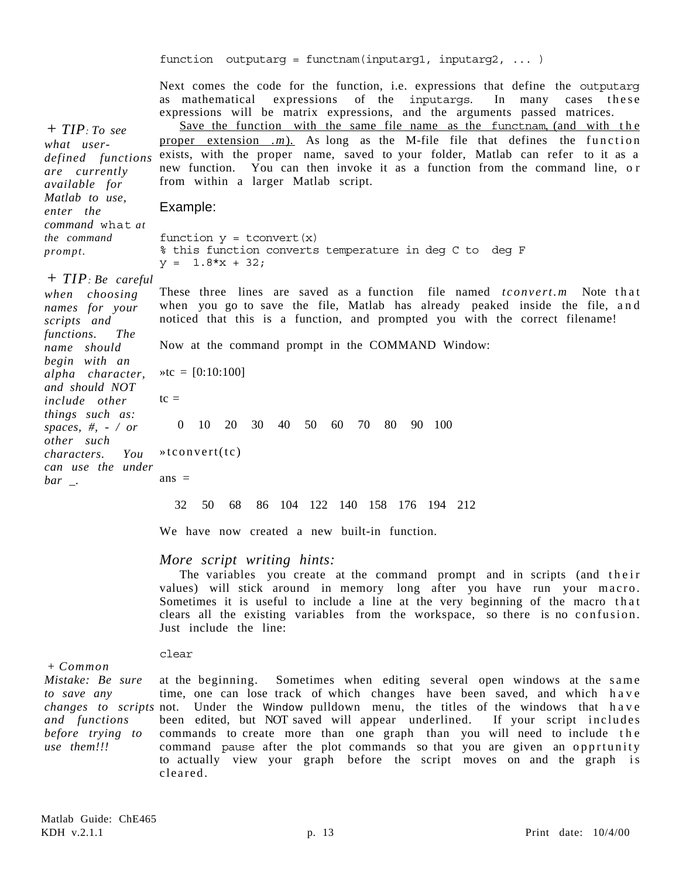|                                                                                                                                     | function outputarg = functnam(inputarg1, inputarg2,  )                                                                                                                                                                                                                                                                                                                                                                                                                                                                                                                                                     |
|-------------------------------------------------------------------------------------------------------------------------------------|------------------------------------------------------------------------------------------------------------------------------------------------------------------------------------------------------------------------------------------------------------------------------------------------------------------------------------------------------------------------------------------------------------------------------------------------------------------------------------------------------------------------------------------------------------------------------------------------------------|
| $+ TIP: To see$<br>what user-<br>defined functions<br>are currently<br>available for                                                | Next comes the code for the function, i.e. expressions that define the outputarg<br>as mathematical expressions of the inputargs. In many cases these<br>expressions will be matrix expressions, and the arguments passed matrices.<br>Save the function with the same file name as the functnam, (and with the<br>proper extension $(m)$ . As long as the M-file file that defines the function<br>exists, with the proper name, saved to your folder, Matlab can refer to it as a<br>new function. You can then invoke it as a function from the command line, or<br>from within a larger Matlab script. |
| Matlab to use,<br>enter the                                                                                                         | Example:                                                                                                                                                                                                                                                                                                                                                                                                                                                                                                                                                                                                   |
| command what at<br>the command<br>prompt.                                                                                           | function $y =$ tconvert $(x)$<br>% this function converts temperature in deg C to deg F<br>$y = 1.8*x + 32;$                                                                                                                                                                                                                                                                                                                                                                                                                                                                                               |
| $+ TIP$ : Be careful<br>when choosing<br>names for your<br>scripts and                                                              | These three lines are saved as a function file named <i>tconvert.m</i> Note that<br>when you go to save the file, Matlab has already peaked inside the file, and<br>noticed that this is a function, and prompted you with the correct filename!                                                                                                                                                                                                                                                                                                                                                           |
| functions.<br><i>The</i><br>name should                                                                                             | Now at the command prompt in the COMMAND Window:                                                                                                                                                                                                                                                                                                                                                                                                                                                                                                                                                           |
| begin with an<br>alpha character,                                                                                                   | $\text{etc} = [0:10:100]$                                                                                                                                                                                                                                                                                                                                                                                                                                                                                                                                                                                  |
| and should NOT<br><i>include other</i>                                                                                              | $tc =$                                                                                                                                                                                                                                                                                                                                                                                                                                                                                                                                                                                                     |
| things such as:<br>spaces, $#$ , $-$ / or                                                                                           | 10 20 30<br>40<br>50<br>60 70<br>80 90 100<br>$\theta$                                                                                                                                                                                                                                                                                                                                                                                                                                                                                                                                                     |
| other such<br>characters.<br>You                                                                                                    | $\ast$ tconvert(tc)                                                                                                                                                                                                                                                                                                                                                                                                                                                                                                                                                                                        |
| can use the under<br>$bar$ <sub>-</sub> .                                                                                           | $ans =$                                                                                                                                                                                                                                                                                                                                                                                                                                                                                                                                                                                                    |
|                                                                                                                                     | 86 104 122 140 158 176 194 212<br>32<br>50 68                                                                                                                                                                                                                                                                                                                                                                                                                                                                                                                                                              |
|                                                                                                                                     | We have now created a new built-in function.                                                                                                                                                                                                                                                                                                                                                                                                                                                                                                                                                               |
|                                                                                                                                     | More script writing hints:<br>The variables you create at the command prompt and in scripts (and their<br>values) will stick around in memory long after you have run your macro.<br>Sometimes it is useful to include a line at the very beginning of the macro that<br>clears all the existing variables from the workspace, so there is no confusion.<br>Just include the line:                                                                                                                                                                                                                         |
|                                                                                                                                     | clear                                                                                                                                                                                                                                                                                                                                                                                                                                                                                                                                                                                                      |
| $+$ Common<br>Mistake: Be sure<br>to save any<br><i>changes to scripts</i> not.<br>and functions<br>before trying to<br>use them!!! | at the beginning. Sometimes when editing several open windows at the same<br>time, one can lose track of which changes have been saved, and which have<br>Under the Window pulldown menu, the titles of the windows that have<br>been edited, but NOT saved will appear underlined. If your script includes<br>commands to create more than one graph than you will need to include the<br>command pause after the plot commands so that you are given an opprtunity<br>to actually view your graph before the script moves on and the graph is<br>cleared.                                                |
|                                                                                                                                     |                                                                                                                                                                                                                                                                                                                                                                                                                                                                                                                                                                                                            |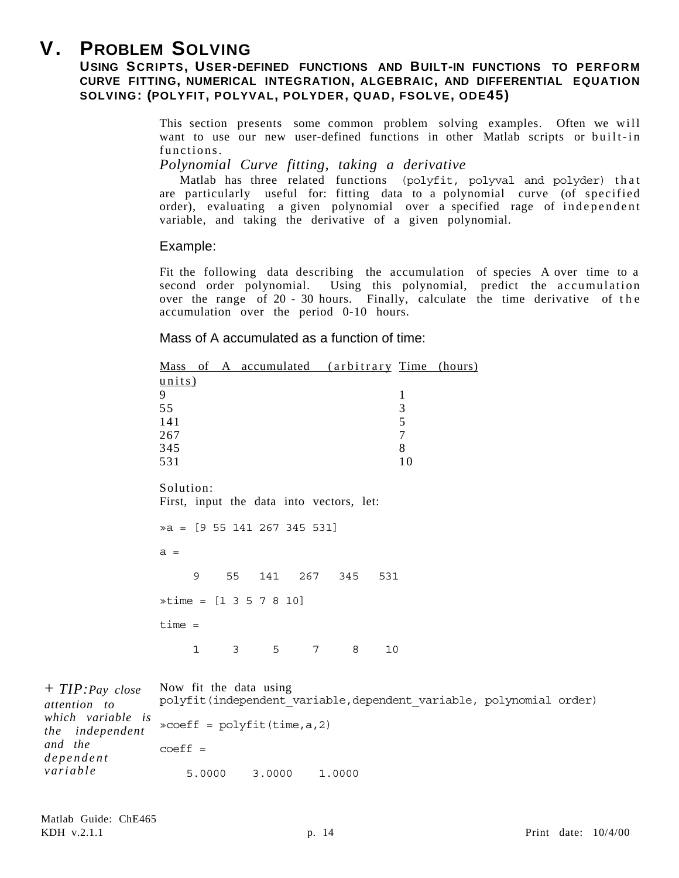# **V. PROBLEM SOLVING**

# **USING SCRIPTS, USER-DEFINED FUNCTIONS AND BUILT-IN FUNCTIONS TO PERFORM CURVE FITTING, NUMERICAL INTEGRATION, ALGEBRAIC, AND DIFFERENTIAL EQUATION SOLVING: (POLYFIT, POLYVAL, POLYDER, QUAD, FSOLVE, ODE45)**

This section presents some common problem solving examples. Often we will want to use our new user-defined functions in other Matlab scripts or built-in functions.

*Polynomial Curve fitting, taking a derivative*

Matlab has three related functions (polyfit, polyval and polyder) that are particularly useful for: fitting data to a polynomial curve (of specified order), evaluating a given polynomial over a specified rage of independent variable, and taking the derivative of a given polynomial.

### Example:

Fit the following data describing the accumulation of species A over time to a second order polynomial. Using this polynomial, predict the accumulation over the range of 20 - 30 hours. Finally, calculate the time derivative of the accumulation over the period 0-10 hours.

Mass of A accumulated as a function of time:

| <u>Mass of A accumulated (arbitrary Time (hours)</u>  |  |  |  |  |  |
|-------------------------------------------------------|--|--|--|--|--|
| units)                                                |  |  |  |  |  |
| 9<br>1                                                |  |  |  |  |  |
| 3<br>55                                               |  |  |  |  |  |
| 5<br>141                                              |  |  |  |  |  |
| 7<br>267                                              |  |  |  |  |  |
| 8<br>345                                              |  |  |  |  |  |
| 10<br>531                                             |  |  |  |  |  |
| Solution:<br>First, input the data into vectors, let: |  |  |  |  |  |
| $\alpha = [9 55 141 267 345 531]$                     |  |  |  |  |  |
| $a =$                                                 |  |  |  |  |  |
| 55 141 267 345<br>9<br>531                            |  |  |  |  |  |
| $\ast$ time = [1 3 5 7 8 10]                          |  |  |  |  |  |
| $time =$                                              |  |  |  |  |  |
| 1<br>5<br>7<br>8<br>10<br>3                           |  |  |  |  |  |

| $+ TIP: Pay close$<br>attention to   | Now fit the data using<br>polyfit(independent variable, dependent variable, polynomial order) |        |  |  |  |
|--------------------------------------|-----------------------------------------------------------------------------------------------|--------|--|--|--|
| which variable is<br>the independent | $\infty$ coeff = polyfit(time, a, 2)                                                          |        |  |  |  |
| and the<br>dependent                 | $coeff =$                                                                                     |        |  |  |  |
| variable                             | 5,0000<br>3,0000                                                                              | 1,0000 |  |  |  |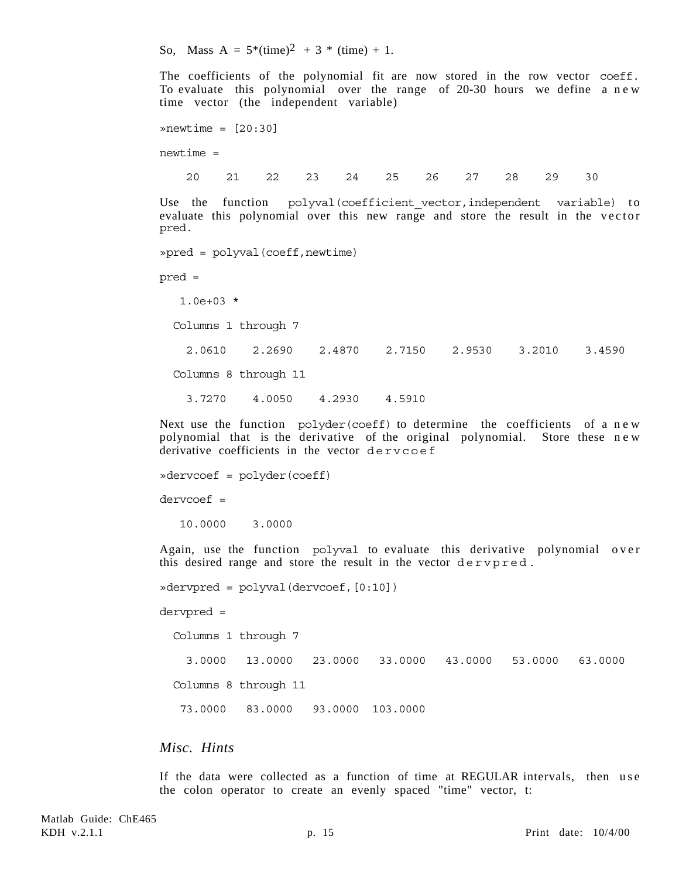So, Mass A =  $5*(time)^2 + 3*(time) + 1$ .

The coefficients of the polynomial fit are now stored in the row vector coeff. To evaluate this polynomial over the range of  $20-30$  hours we define a n ew time vector (the independent variable)

```
\astnewtime = [20:30]newtime =
   20 21 22 23 24 25 26 27 28 29 30
```
Use the function polyval(coefficient vector,independent variable) to evaluate this polynomial over this new range and store the result in the vector pred.

»pred = polyval(coeff,newtime)

pred =

1.0e+03 \*

Columns 1 through 7

2.0610 2.2690 2.4870 2.7150 2.9530 3.2010 3.4590

Columns 8 through 11

3.7270 4.0050 4.2930 4.5910

Next use the function polyder(coeff) to determine the coefficients of a new polynomial that is the derivative of the original polynomial. Store these n e w derivative coefficients in the vector dervcoef

```
»dervcoef = polyder(coeff)
dervcoef =
    10.0000 3.0000
```
Again, use the function polyval to evaluate this derivative polynomial over this desired range and store the result in the vector dervpred.

»dervpred = polyval(dervcoef,[0:10]) dervpred = Columns 1 through 7

 3.0000 13.0000 23.0000 33.0000 43.0000 53.0000 63.0000 Columns 8 through 11 73.0000 83.0000 93.0000 103.0000

### *Misc. Hints*

If the data were collected as a function of time at REGULAR intervals, then use the colon operator to create an evenly spaced "time" vector, t: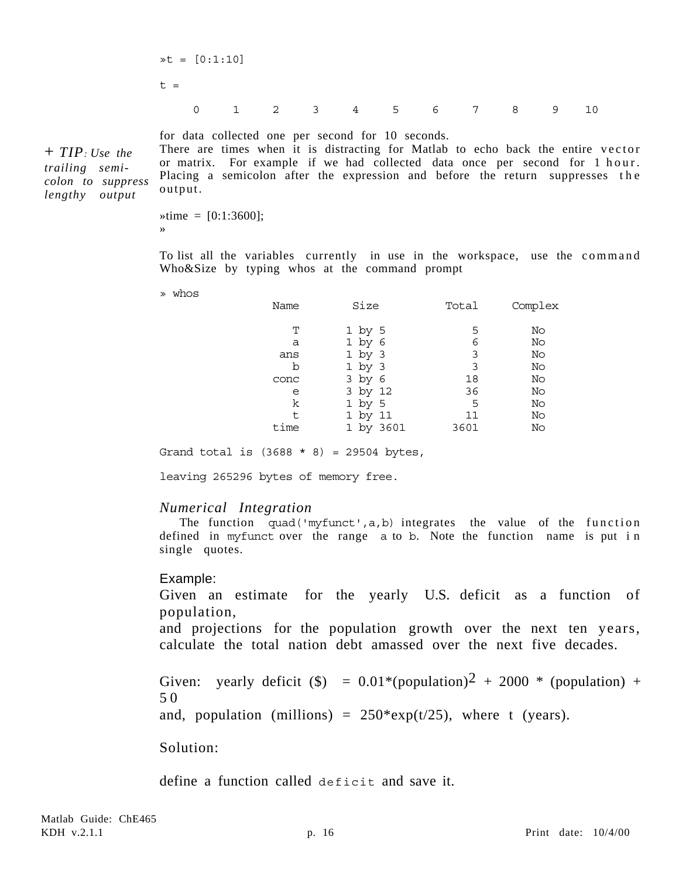$\ast t = [0:1:10]$  $t =$ 0 1 2 3 4 5 6 7 8 9 10

+ *TIP: Use the trailing semicolon to suppress lengthy output*

for data collected one per second for 10 seconds.

There are times when it is distracting for Matlab to echo back the entire vector or matrix. For example if we had collected data once per second for 1 hour. Placing a semicolon after the expression and before the return suppresses the output.

 $\ast$ time = [0:1:3600]; »

To list all the variables currently in use in the workspace, use the command Who&Size by typing whos at the command prompt

» whos

| Name | Size       | Total | Complex |
|------|------------|-------|---------|
| т    | $1$ by 5   | 5     | No      |
| a    | $1$ by $6$ | 6     | No      |
| ans  | $1$ by $3$ | 3     | No      |
| b    | $1$ by $3$ | 3     | No      |
| conc | 3 by 6     | 18    | No      |
| e    | 3 by 12    | 36    | No      |
| k    | $1$ by 5   | 5     | No      |
| t    | 1 by 11    | 11    | No      |
| time | 1 by 3601  | 3601  | No      |

Grand total is  $(3688 * 8) = 29504$  bytes,

leaving 265296 bytes of memory free.

#### *Numerical Integration*

The function quad('myfunct', $a$ , $b$ ) integrates the value of the function defined in myfunct over the range a to b. Note the function name is put in single quotes.

#### Example:

Given an estimate for the yearly U.S. deficit as a function of population,

and projections for the population growth over the next ten years, calculate the total nation debt amassed over the next five decades.

Given: yearly deficit (\$) =  $0.01*(population)^2 + 2000*(population) +$ 5 0 and, population (millions) =  $250*exp(t/25)$ , where t (years).

Solution:

define a function called deficit and save it.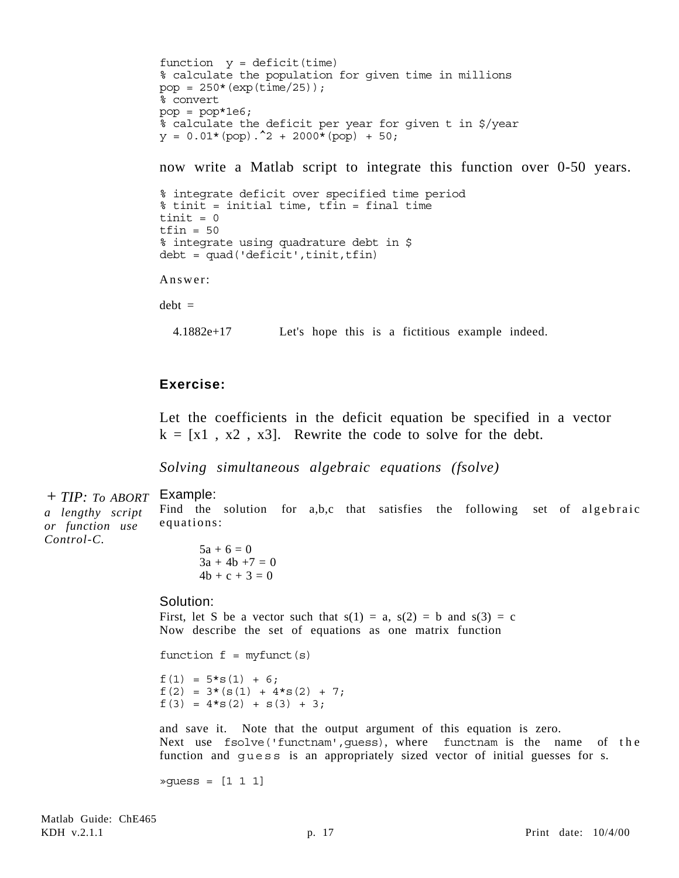```
function y = \text{deficit}(\text{time})% calculate the population for given time in millions
pop = 250*(exp(time/25));% convert
pop = pop*1e6;% calculate the deficit per year for given t in $/year
y = 0.01*(pop).<sup>2</sup> + 2000*(pop) + 50;
```
now write a Matlab script to integrate this function over 0-50 years.

```
% integrate deficit over specified time period
% tinit = initial time, tfin = final time
tinit = 0tfin = 50% integrate using quadrature debt in $
debt = quad('deficit',tinit,tfin)
```
Answer:

 $debt =$ 

4.1882e+17 Let's hope this is a fictitious example indeed.

## **Exercise:**

Let the coefficients in the deficit equation be specified in a vector  $k = [x1, x2, x3]$ . Rewrite the code to solve for the debt.

Find the solution for a,b,c that satisfies the following set of algebraic

*Solving simultaneous algebraic equations (fsolve)*

Example: + *TIP: To ABORT*

*a lengthy script or function use Control-C.*

 $5a + 6 = 0$  $3a + 4b + 7 = 0$ 

 $4b + c + 3 = 0$ 

#### Solution:

equations:

First, let S be a vector such that  $s(1) = a$ ,  $s(2) = b$  and  $s(3) = c$ Now describe the set of equations as one matrix function

```
function f = myfunc(s)
```
 $f(1) = 5*s(1) + 6;$  $f(2) = 3*(s(1) + 4*s(2) + 7;$  $f(3) = 4*s(2) + s(3) + 3;$ 

and save it. Note that the output argument of this equation is zero. Next use fsolve('functnam', quess), where functnam is the name of the function and guess is an appropriately sized vector of initial guesses for s.

»guess = [1 1 1]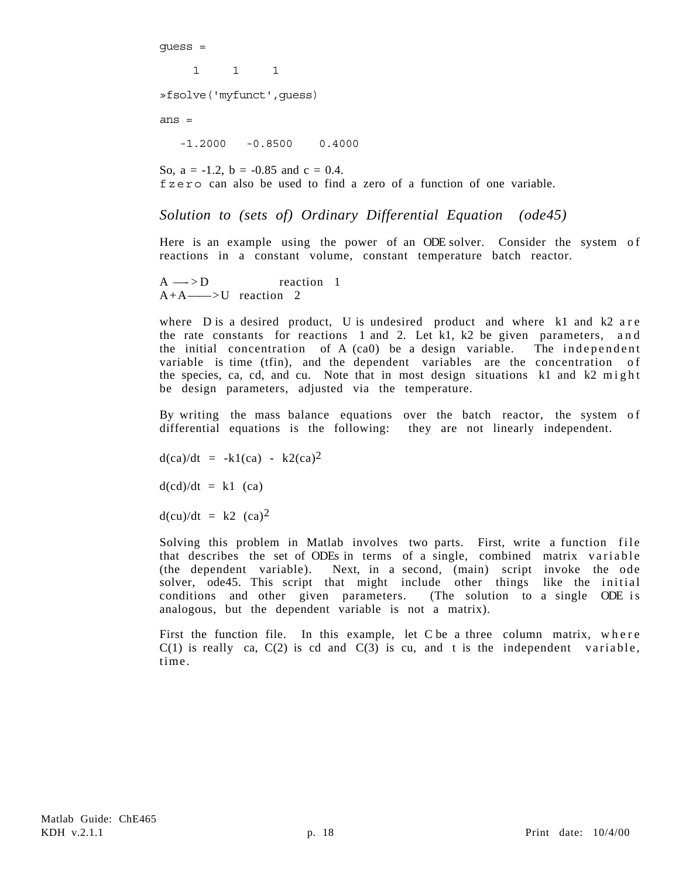guess =

1 1 1

»fsolve('myfunct',guess)

ans =

-1.2000 -0.8500 0.4000

So,  $a = -1.2$ ,  $b = -0.85$  and  $c = 0.4$ . fzero can also be used to find a zero of a function of one variable.

#### *Solution to (sets of) Ordinary Differential Equation (ode45)*

Here is an example using the power of an ODE solver. Consider the system of reactions in a constant volume, constant temperature batch reactor.

 $A \longrightarrow D$  reaction 1  $A+A \longrightarrow U$  reaction 2

where D is a desired product, U is undesired product and where k1 and k2 a r e the rate constants for reactions 1 and 2. Let  $k1$ ,  $k2$  be given parameters, and the initial concentration of A (ca0) be a design variable. The independent variable is time (tfin), and the dependent variables are the concentration of the species, ca, cd, and cu. Note that in most design situations k1 and k2 might be design parameters, adjusted via the temperature.

By writing the mass balance equations over the batch reactor, the system of differential equations is the following: they are not linearly independent.

 $d(ca)/dt = -k1(ca) - k2(ca)^2$ 

 $d(cd)/dt = k1$  (ca)

 $d(cu)/dt = k2$   $(ca)^2$ 

Solving this problem in Matlab involves two parts. First, write a function file that describes the set of ODEs in terms of a single, combined matrix variable (the dependent variable). Next, in a second, (main) script invoke the ode solver, ode45. This script that might include other things like the initial conditions and other given parameters. (The solution to a single ODE is analogous, but the dependent variable is not a matrix).

First the function file. In this example, let C be a three column matrix, where  $C(1)$  is really ca,  $C(2)$  is cd and  $C(3)$  is cu, and t is the independent variable, time.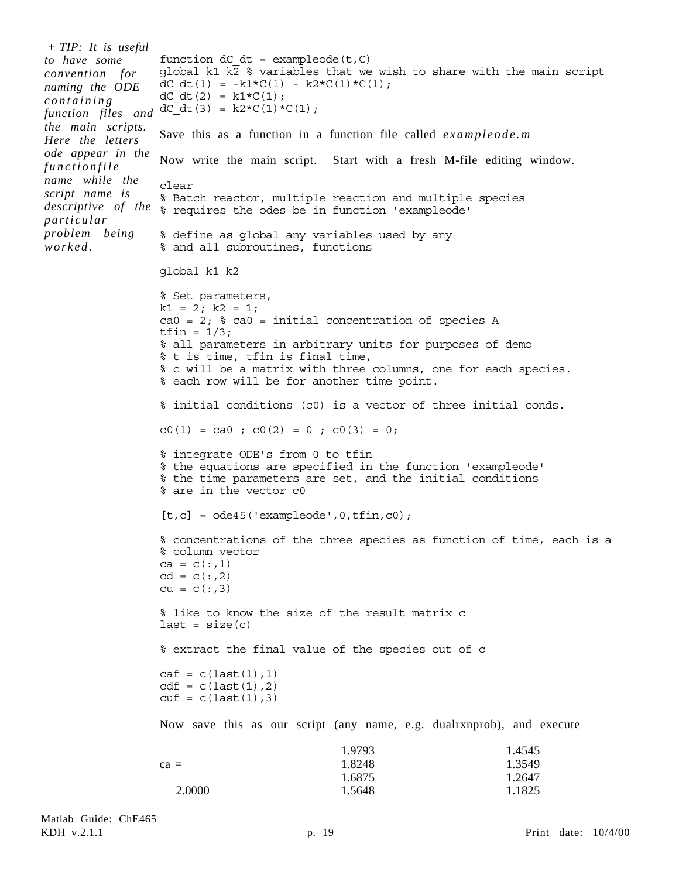```
function dC dt = exampleode(t, C)
                  global k1 k\overline{2} % variables that we wish to share with the main script
                  dC dt(1) = -k1*C(1) - k2*C(1)*C(1);dC dt(2) = k1*C(1);
                  dC_dt(3) = k2*C(1)*C(1);
                  Save this as a function in a function file called exampleode.m
                  Now write the main script. Start with a fresh M-file editing window.
                  clear
                  % Batch reactor, multiple reaction and multiple species
descriptive of the \frac{1}{8} requires the odes be in function 'exampleode'
                  % define as global any variables used by any
                  % and all subroutines, functions
                  global k1 k2
                  % Set parameters,
                  k1 = 2; k2 = 1;ca0 = 2; \textdegree ca0 = initial concentration of species A
                  tfin = 1/3;
                  % all parameters in arbitrary units for purposes of demo
                  % t is time, tfin is final time,
                  % c will be a matrix with three columns, one for each species.
                  % each row will be for another time point.
                  % initial conditions (c0) is a vector of three initial conds.
                  c0(1) = ca0; c0(2) = 0; c0(3) = 0;
                  % integrate ODE's from 0 to tfin
                  % the equations are specified in the function 'exampleode'
                  % the time parameters are set, and the initial conditions
                  % are in the vector c0
                  [t, c] = ode45('exampleode', 0, tfin, c0);% concentrations of the three species as function of time, each is a
                  % column vector
                  ca = c(:,1)cd = c(:, 2)cu = c(:,3)% like to know the size of the result matrix c
                  last = size(c)% extract the final value of the species out of c
                  caf = c(last(1), 1)cdf = c(last(1), 2)cut = c(last(1), 3)Now save this as our script (any name, e.g. dualrxnprob), and execute
                  ca = 1.9793
                                                1.8248
                                                1.6875
                                                                           1.4545
                                                                          1.3549
                                                                          1.2647
+ TIP: It is useful
to have some
convention for
naming the ODE
containing
function files and
the main scripts.
Here the letters
ode appear in the
functionfile
name while the
script name is
particular
problem being
worked.
```
2.0000

1.5648

1.1825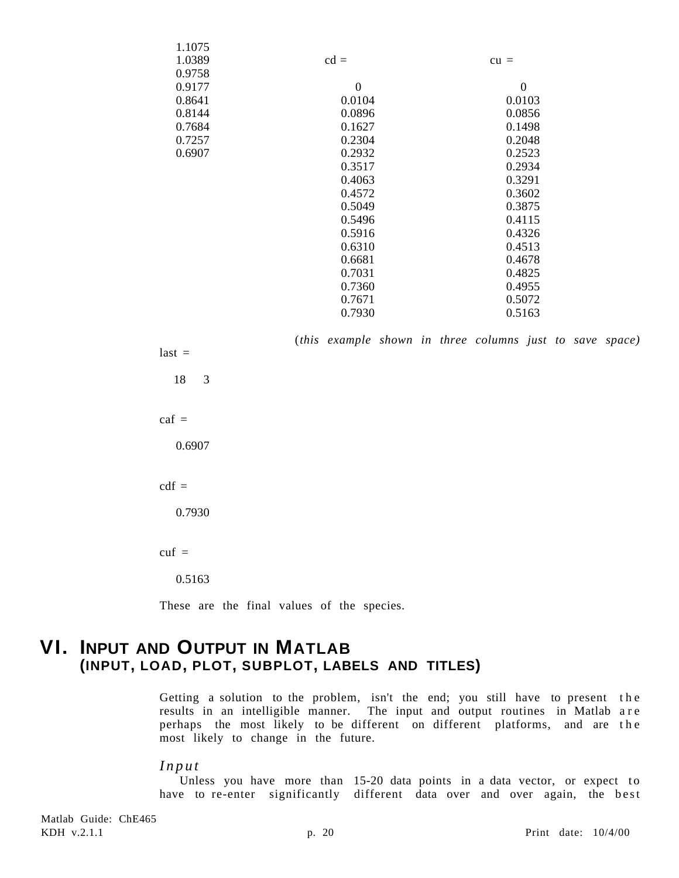| 1.1075 |                |                |
|--------|----------------|----------------|
| 1.0389 | $cd =$         | $cu =$         |
| 0.9758 |                |                |
| 0.9177 | $\overline{0}$ | $\overline{0}$ |
| 0.8641 | 0.0104         | 0.0103         |
| 0.8144 | 0.0896         | 0.0856         |
| 0.7684 | 0.1627         | 0.1498         |
| 0.7257 | 0.2304         | 0.2048         |
| 0.6907 | 0.2932         | 0.2523         |
|        | 0.3517         | 0.2934         |
|        | 0.4063         | 0.3291         |
|        | 0.4572         | 0.3602         |
|        | 0.5049         | 0.3875         |
|        | 0.5496         | 0.4115         |
|        | 0.5916         | 0.4326         |
|        | 0.6310         | 0.4513         |
|        | 0.6681         | 0.4678         |
|        | 0.7031         | 0.4825         |
|        | 0.7360         | 0.4955         |
|        | 0.7671         | 0.5072         |
|        | 0.7930         | 0.5163         |

(*this example shown in three columns just to save space)*

 $last =$  18 3  $\text{caf}$  = 0.6907  $cdf =$  0.7930  $cut =$ 

0.5163

These are the final values of the species.

# **VI. INPUT AND OUTPUT IN MATLAB (INPUT, LOAD, PLOT, SUBPLOT, LABELS AND TITLES)**

Getting a solution to the problem, isn't the end; you still have to present the results in an intelligible manner. The input and output routines in Matlab are perhaps the most likely to be different on different platforms, and are the most likely to change in the future.

#### *Input*

Unless you have more than  $15-20$  data points in a data vector, or expect to have to re-enter significantly different data over and over again, the best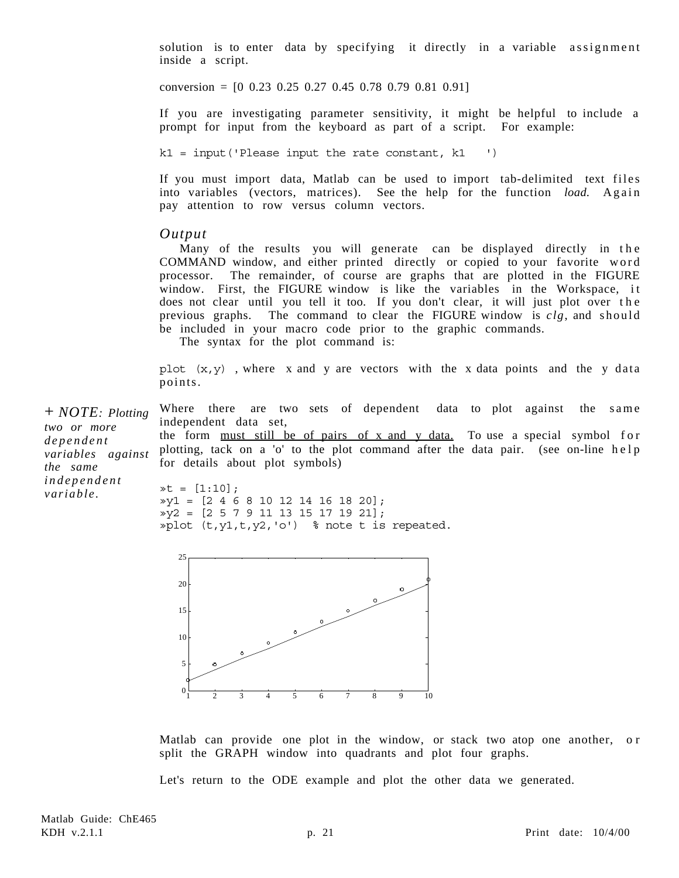solution is to enter data by specifying it directly in a variable assignment inside a script.

conversion =  $[0 \t0.23 \t0.25 \t0.27 \t0.45 \t0.78 \t0.79 \t0.81 \t0.91]$ 

If you are investigating parameter sensitivity, it might be helpful to include a prompt for input from the keyboard as part of a script. For example:

 $k1 = input('Please input the rate constant, k1'')$ 

If you must import data, Matlab can be used to import tab-delimited text files into variables (vectors, matrices). See the help for the function *load.* Again pay attention to row versus column vectors.

#### *Output*

Many of the results you will generate can be displayed directly in the COMMAND window, and either printed directly or copied to your favorite word processor. The remainder, of course are graphs that are plotted in the FIGURE window. First, the FIGURE window is like the variables in the Workspace, it does not clear until you tell it too. If you don't clear, it will just plot over the previous graphs. The command to clear the FIGURE window is *clg*, and should be included in your macro code prior to the graphic commands.

The syntax for the plot command is:

plot  $(x, y)$ , where x and y are vectors with the x data points and the y data points.

Where there are two sets of dependent data to plot against the same independent data set, the form must still be of pairs of x and y data. To use a special symbol for plotting, tack on a 'o' to the plot command after the data pair. (see on-line help for details about plot symbols)  $\ast t = [1:10];$ + *NOTE: Plotting two or more dependent variables against the same independent variable.*

»y1 = [2 4 6 8 10 12 14 16 18 20];  $\sqrt{y^2}$  = [2 5 7 9 11 13 15 17 19 21]; »plot  $(t, y1, t, y2, 'o')$  % note t is repeated.



Matlab can provide one plot in the window, or stack two atop one another, or split the GRAPH window into quadrants and plot four graphs.

Let's return to the ODE example and plot the other data we generated.

Matlab Guide: ChE465 KDH v.2.1.1 **p. 21 Print date: 10/4/00 Print** date: 10/4/00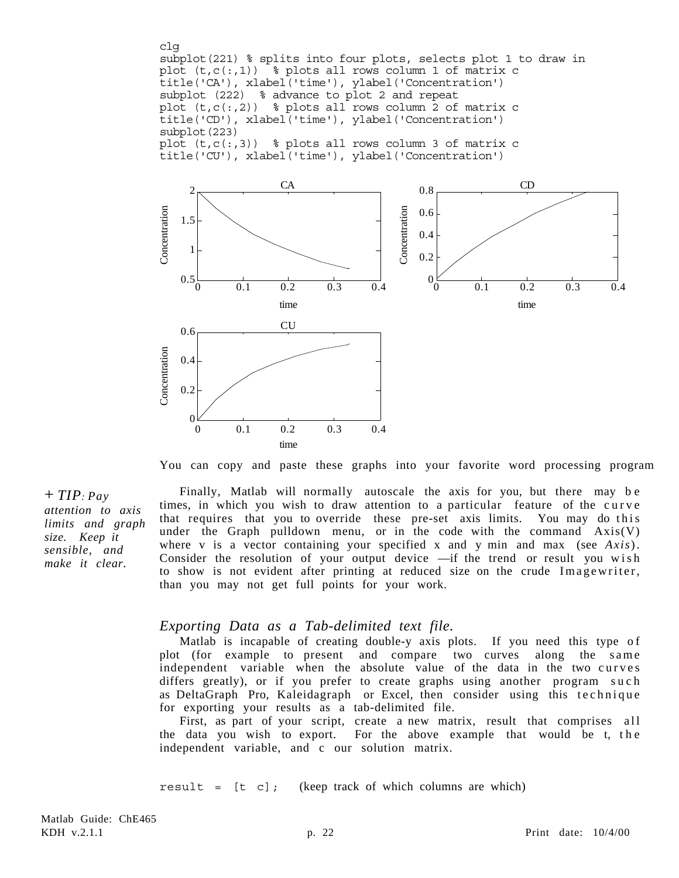clg subplot(221) % splits into four plots, selects plot 1 to draw in plot  $(t, c(:,1))$  % plots all rows column 1 of matrix c title('CA'), xlabel('time'), ylabel('Concentration') subplot (222) % advance to plot 2 and repeat plot  $(t, c(:, 2))$  % plots all rows column 2 of matrix c title('CD'), xlabel('time'), ylabel('Concentration') subplot(223) plot  $(t, c(:,3))$  % plots all rows column 3 of matrix c title('CU'), xlabel('time'), ylabel('Concentration')



You can copy and paste these graphs into your favorite word processing program

Finally, Matlab will normally autoscale the axis for you, but there may b e times, in which you wish to draw attention to a particular feature of the curve that requires that you to override these pre-set axis limits. You may do this under the Graph pulldown menu, or in the code with the command  $Axis(V)$ where v is a vector containing your specified x and y min and max (see *Axis*) . Consider the resolution of your output device — if the trend or result you wish to show is not evident after printing at reduced size on the crude Imagewriter, than you may not get full points for your work.

#### *Exporting Data as a Tab-delimited text file.*

Matlab is incapable of creating double-y axis plots. If you need this type of plot (for example to present and compare two curves along the same independent variable when the absolute value of the data in the two curves differs greatly), or if you prefer to create graphs using another program such as DeltaGraph Pro, Kaleidagraph or Excel, then consider using this technique for exporting your results as a tab-delimited file.

First, as part of your script, create a new matrix, result that comprises all the data you wish to export. For the above example that would be t, the independent variable, and c our solution matrix.

result =  $[t \ c]$ ; (keep track of which columns are which)

+ *TIP: Pay attention to axis limits and graph size. Keep it sensible, and make it clear.*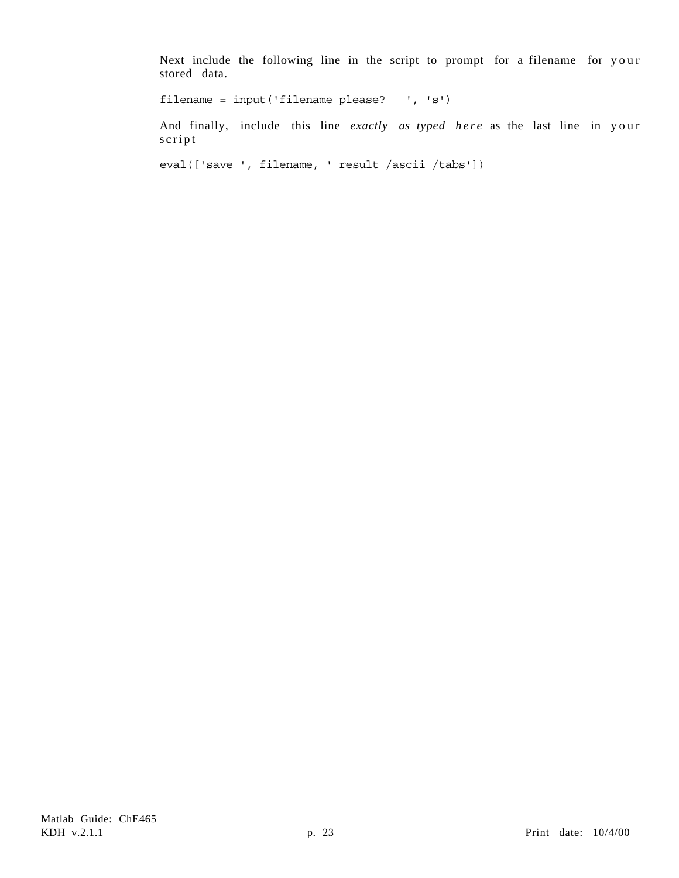Next include the following line in the script to prompt for a filename for your stored data.

filename = input('filename please? ', 's')

And finally, include this line *exactly as typed here* as the last line in your script

eval(['save ', filename, ' result /ascii /tabs'])